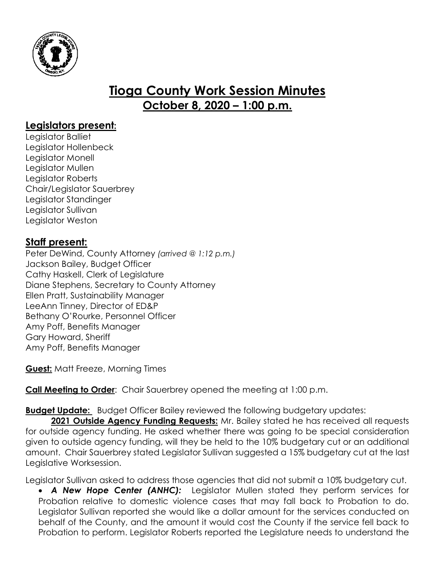

## **Tioga County Work Session Minutes October 8, 2020 – 1:00 p.m.**

## **Legislators present:**

Legislator Balliet Legislator Hollenbeck Legislator Monell Legislator Mullen Legislator Roberts Chair/Legislator Sauerbrey Legislator Standinger Legislator Sullivan Legislator Weston

## **Staff present:**

Peter DeWind, County Attorney *(arrived @ 1:12 p.m.)* Jackson Bailey, Budget Officer Cathy Haskell, Clerk of Legislature Diane Stephens, Secretary to County Attorney Ellen Pratt, Sustainability Manager LeeAnn Tinney, Director of ED&P Bethany O'Rourke, Personnel Officer Amy Poff, Benefits Manager Gary Howard, Sheriff Amy Poff, Benefits Manager

**Guest:** Matt Freeze, Morning Times

**Call Meeting to Order:** Chair Sauerbrey opened the meeting at 1:00 p.m.

**Budget Update:** Budget Officer Bailey reviewed the following budgetary updates:

2021 **Outside Agency Funding Requests:** Mr. Bailey stated he has received all requests for outside agency funding. He asked whether there was going to be special consideration given to outside agency funding, will they be held to the 10% budgetary cut or an additional amount. Chair Sauerbrey stated Legislator Sullivan suggested a 15% budgetary cut at the last Legislative Worksession.

Legislator Sullivan asked to address those agencies that did not submit a 10% budgetary cut.

 *A New Hope Center (ANHC):* Legislator Mullen stated they perform services for Probation relative to domestic violence cases that may fall back to Probation to do. Legislator Sullivan reported she would like a dollar amount for the services conducted on behalf of the County, and the amount it would cost the County if the service fell back to Probation to perform. Legislator Roberts reported the Legislature needs to understand the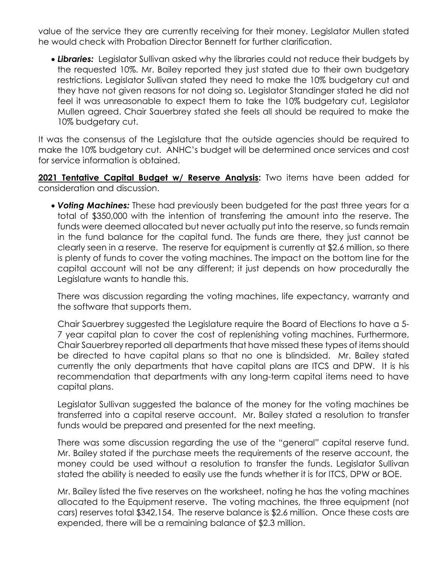value of the service they are currently receiving for their money. Legislator Mullen stated he would check with Probation Director Bennett for further clarification.

 *Libraries:* Legislator Sullivan asked why the libraries could not reduce their budgets by the requested 10%. Mr. Bailey reported they just stated due to their own budgetary restrictions. Legislator Sullivan stated they need to make the 10% budgetary cut and they have not given reasons for not doing so. Legislator Standinger stated he did not feel it was unreasonable to expect them to take the 10% budgetary cut, Legislator Mullen agreed. Chair Sauerbrey stated she feels all should be required to make the 10% budgetary cut.

It was the consensus of the Legislature that the outside agencies should be required to make the 10% budgetary cut. ANHC's budget will be determined once services and cost for service information is obtained.

2021 Tentative Capital Budget w/ Reserve Analysis: Two items have been added for consideration and discussion.

 *Voting Machines:* These had previously been budgeted for the past three years for a total of \$350,000 with the intention of transferring the amount into the reserve. The funds were deemed allocated but never actually put into the reserve, so funds remain in the fund balance for the capital fund. The funds are there, they just cannot be clearly seen in a reserve. The reserve for equipment is currently at \$2.6 million, so there is plenty of funds to cover the voting machines. The impact on the bottom line for the capital account will not be any different; it just depends on how procedurally the Legislature wants to handle this.

There was discussion regarding the voting machines, life expectancy, warranty and the software that supports them.

Chair Sauerbrey suggested the Legislature require the Board of Elections to have a 5- 7 year capital plan to cover the cost of replenishing voting machines. Furthermore, Chair Sauerbrey reported all departments that have missed these types of items should be directed to have capital plans so that no one is blindsided. Mr. Bailey stated currently the only departments that have capital plans are ITCS and DPW. It is his recommendation that departments with any long-term capital items need to have capital plans.

Legislator Sullivan suggested the balance of the money for the voting machines be transferred into a capital reserve account. Mr. Bailey stated a resolution to transfer funds would be prepared and presented for the next meeting.

There was some discussion regarding the use of the "general" capital reserve fund. Mr. Bailey stated if the purchase meets the requirements of the reserve account, the money could be used without a resolution to transfer the funds. Legislator Sullivan stated the ability is needed to easily use the funds whether it is for ITCS, DPW or BOE.

Mr. Bailey listed the five reserves on the worksheet, noting he has the voting machines allocated to the Equipment reserve. The voting machines, the three equipment (not cars) reserves total \$342,154. The reserve balance is \$2.6 million. Once these costs are expended, there will be a remaining balance of \$2.3 million.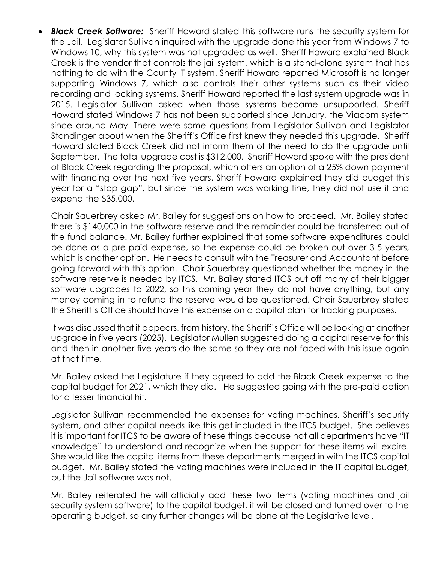*Black Creek Software:* Sheriff Howard stated this software runs the security system for the Jail. Legislator Sullivan inquired with the upgrade done this year from Windows 7 to Windows 10, why this system was not upgraded as well. Sheriff Howard explained Black Creek is the vendor that controls the jail system, which is a stand-alone system that has nothing to do with the County IT system. Sheriff Howard reported Microsoft is no longer supporting Windows 7, which also controls their other systems such as their video recording and locking systems. Sheriff Howard reported the last system upgrade was in 2015. Legislator Sullivan asked when those systems became unsupported. Sheriff Howard stated Windows 7 has not been supported since January, the Viacom system since around May. There were some questions from Legislator Sullivan and Legislator Standinger about when the Sheriff's Office first knew they needed this upgrade. Sheriff Howard stated Black Creek did not inform them of the need to do the upgrade until September. The total upgrade cost is \$312,000. Sheriff Howard spoke with the president of Black Creek regarding the proposal, which offers an option of a 25% down payment with financing over the next five years. Sheriff Howard explained they did budget this year for a "stop gap", but since the system was working fine, they did not use it and expend the \$35,000.

Chair Sauerbrey asked Mr. Bailey for suggestions on how to proceed. Mr. Bailey stated there is \$140,000 in the software reserve and the remainder could be transferred out of the fund balance. Mr. Bailey further explained that some software expenditures could be done as a pre-paid expense, so the expense could be broken out over 3-5 years, which is another option. He needs to consult with the Treasurer and Accountant before going forward with this option. Chair Sauerbrey questioned whether the money in the software reserve is needed by ITCS. Mr. Bailey stated ITCS put off many of their bigger software upgrades to 2022, so this coming year they do not have anything, but any money coming in to refund the reserve would be questioned. Chair Sauerbrey stated the Sheriff's Office should have this expense on a capital plan for tracking purposes.

It was discussed that it appears, from history, the Sheriff's Office will be looking at another upgrade in five years (2025). Legislator Mullen suggested doing a capital reserve for this and then in another five years do the same so they are not faced with this issue again at that time.

Mr. Bailey asked the Legislature if they agreed to add the Black Creek expense to the capital budget for 2021, which they did. He suggested going with the pre-paid option for a lesser financial hit.

Legislator Sullivan recommended the expenses for voting machines, Sheriff's security system, and other capital needs like this get included in the ITCS budget. She believes it is important for ITCS to be aware of these things because not all departments have "IT knowledge" to understand and recognize when the support for these items will expire. She would like the capital items from these departments merged in with the ITCS capital budget. Mr. Bailey stated the voting machines were included in the IT capital budget, but the Jail software was not.

Mr. Bailey reiterated he will officially add these two items (voting machines and jail security system software) to the capital budget, it will be closed and turned over to the operating budget, so any further changes will be done at the Legislative level.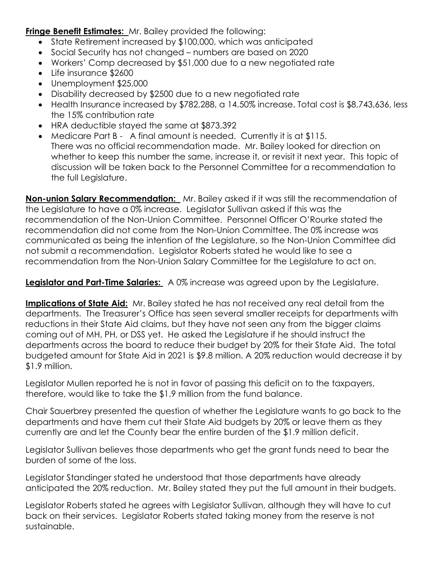**Fringe Benefit Estimates:** Mr. Bailey provided the following:

- State Retirement increased by \$100,000, which was anticipated
- Social Security has not changed numbers are based on 2020
- Workers' Comp decreased by \$51,000 due to a new negotiated rate
- Life insurance \$2600
- Unemployment \$25,000
- Disability decreased by \$2500 due to a new negotiated rate
- Health Insurance increased by \$782,288, a 14.50% increase. Total cost is \$8,743,636, less the 15% contribution rate
- HRA deductible stayed the same at \$873,392
- Medicare Part B A final amount is needed. Currently it is at \$115. There was no official recommendation made. Mr. Bailey looked for direction on whether to keep this number the same, increase it, or revisit it next year. This topic of discussion will be taken back to the Personnel Committee for a recommendation to the full Legislature.

**Non-union Salary Recommendation:** Mr. Bailey asked if it was still the recommendation of the Legislature to have a 0% increase. Legislator Sullivan asked if this was the recommendation of the Non-Union Committee. Personnel Officer O'Rourke stated the recommendation did not come from the Non-Union Committee. The 0% increase was communicated as being the intention of the Legislature, so the Non-Union Committee did not submit a recommendation. Legislator Roberts stated he would like to see a recommendation from the Non-Union Salary Committee for the Legislature to act on.

**Legislator and Part-Time Salaries:** A 0% increase was agreed upon by the Legislature.

**Implications of State Aid:** Mr. Bailey stated he has not received any real detail from the departments. The Treasurer's Office has seen several smaller receipts for departments with reductions in their State Aid claims, but they have not seen any from the bigger claims coming out of MH, PH, or DSS yet. He asked the Legislature if he should instruct the departments across the board to reduce their budget by 20% for their State Aid. The total budgeted amount for State Aid in 2021 is \$9.8 million. A 20% reduction would decrease it by \$1.9 million.

Legislator Mullen reported he is not in favor of passing this deficit on to the taxpayers, therefore, would like to take the \$1.9 million from the fund balance.

Chair Sauerbrey presented the question of whether the Legislature wants to go back to the departments and have them cut their State Aid budgets by 20% or leave them as they currently are and let the County bear the entire burden of the \$1.9 million deficit.

Legislator Sullivan believes those departments who get the grant funds need to bear the burden of some of the loss.

Legislator Standinger stated he understood that those departments have already anticipated the 20% reduction. Mr. Bailey stated they put the full amount in their budgets.

Legislator Roberts stated he agrees with Legislator Sullivan, although they will have to cut back on their services. Legislator Roberts stated taking money from the reserve is not sustainable.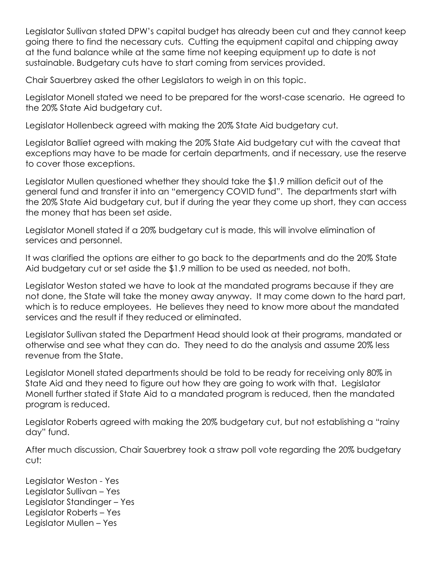Legislator Sullivan stated DPW's capital budget has already been cut and they cannot keep going there to find the necessary cuts. Cutting the equipment capital and chipping away at the fund balance while at the same time not keeping equipment up to date is not sustainable. Budgetary cuts have to start coming from services provided.

Chair Sauerbrey asked the other Legislators to weigh in on this topic.

Legislator Monell stated we need to be prepared for the worst-case scenario. He agreed to the 20% State Aid budgetary cut.

Legislator Hollenbeck agreed with making the 20% State Aid budgetary cut.

Legislator Balliet agreed with making the 20% State Aid budgetary cut with the caveat that exceptions may have to be made for certain departments, and if necessary, use the reserve to cover those exceptions.

Legislator Mullen questioned whether they should take the \$1.9 million deficit out of the general fund and transfer it into an "emergency COVID fund". The departments start with the 20% State Aid budgetary cut, but if during the year they come up short, they can access the money that has been set aside.

Legislator Monell stated if a 20% budgetary cut is made, this will involve elimination of services and personnel.

It was clarified the options are either to go back to the departments and do the 20% State Aid budgetary cut or set aside the \$1.9 million to be used as needed, not both.

Legislator Weston stated we have to look at the mandated programs because if they are not done, the State will take the money away anyway. It may come down to the hard part, which is to reduce employees. He believes they need to know more about the mandated services and the result if they reduced or eliminated.

Legislator Sullivan stated the Department Head should look at their programs, mandated or otherwise and see what they can do. They need to do the analysis and assume 20% less revenue from the State.

Legislator Monell stated departments should be told to be ready for receiving only 80% in State Aid and they need to figure out how they are going to work with that. Legislator Monell further stated if State Aid to a mandated program is reduced, then the mandated program is reduced.

Legislator Roberts agreed with making the 20% budgetary cut, but not establishing a "rainy day" fund.

After much discussion, Chair Sauerbrey took a straw poll vote regarding the 20% budgetary cut:

Legislator Weston - Yes Legislator Sullivan – Yes Legislator Standinger – Yes Legislator Roberts – Yes Legislator Mullen – Yes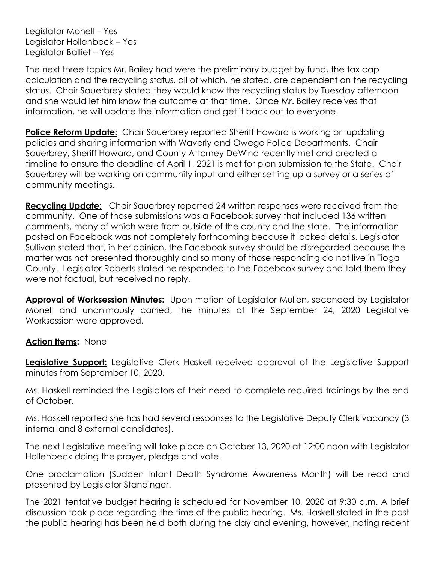Legislator Monell – Yes Legislator Hollenbeck – Yes Legislator Balliet – Yes

The next three topics Mr. Bailey had were the preliminary budget by fund, the tax cap calculation and the recycling status, all of which, he stated, are dependent on the recycling status. Chair Sauerbrey stated they would know the recycling status by Tuesday afternoon and she would let him know the outcome at that time. Once Mr. Bailey receives that information, he will update the information and get it back out to everyone.

**Police Reform Update:** Chair Sauerbrey reported Sheriff Howard is working on updating policies and sharing information with Waverly and Owego Police Departments. Chair Sauerbrey, Sheriff Howard, and County Attorney DeWind recently met and created a timeline to ensure the deadline of April 1, 2021 is met for plan submission to the State. Chair Sauerbrey will be working on community input and either setting up a survey or a series of community meetings.

**Recycling Update:** Chair Sauerbrey reported 24 written responses were received from the community. One of those submissions was a Facebook survey that included 136 written comments, many of which were from outside of the county and the state. The information posted on Facebook was not completely forthcoming because it lacked details. Legislator Sullivan stated that, in her opinion, the Facebook survey should be disregarded because the matter was not presented thoroughly and so many of those responding do not live in Tioga County. Legislator Roberts stated he responded to the Facebook survey and told them they were not factual, but received no reply.

**Approval of Worksession Minutes:** Upon motion of Legislator Mullen, seconded by Legislator Monell and unanimously carried, the minutes of the September 24, 2020 Legislative Worksession were approved.

## **Action Items:** None

**Legislative Support:** Legislative Clerk Haskell received approval of the Legislative Support minutes from September 10, 2020.

Ms. Haskell reminded the Legislators of their need to complete required trainings by the end of October.

Ms. Haskell reported she has had several responses to the Legislative Deputy Clerk vacancy (3 internal and 8 external candidates).

The next Legislative meeting will take place on October 13, 2020 at 12:00 noon with Legislator Hollenbeck doing the prayer, pledge and vote.

One proclamation (Sudden Infant Death Syndrome Awareness Month) will be read and presented by Legislator Standinger.

The 2021 tentative budget hearing is scheduled for November 10, 2020 at 9:30 a.m. A brief discussion took place regarding the time of the public hearing. Ms. Haskell stated in the past the public hearing has been held both during the day and evening, however, noting recent